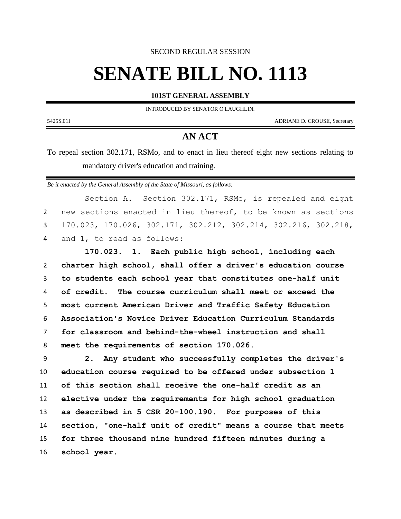SECOND REGULAR SESSION

# **SENATE BILL NO. 1113**

**101ST GENERAL ASSEMBLY**

INTRODUCED BY SENATOR O'LAUGHLIN.

5425S.01I ADRIANE D. CROUSE, Secretary

# **AN ACT**

To repeal section 302.171, RSMo, and to enact in lieu thereof eight new sections relating to mandatory driver's education and training.

*Be it enacted by the General Assembly of the State of Missouri, as follows:*

Section A. Section 302.171, RSMo, is repealed and eight new sections enacted in lieu thereof, to be known as sections 170.023, 170.026, 302.171, 302.212, 302.214, 302.216, 302.218, and 1, to read as follows:

 **170.023. 1. Each public high school, including each charter high school, shall offer a driver's education course to students each school year that constitutes one-half unit of credit. The course curriculum shall meet or exceed the most current American Driver and Traffic Safety Education Association's Novice Driver Education Curriculum Standards for classroom and behind-the-wheel instruction and shall meet the requirements of section 170.026.**

 **2. Any student who successfully completes the driver's education course required to be offered under subsection 1 of this section shall receive the one-half credit as an elective under the requirements for high school graduation as described in 5 CSR 20-100.190. For purposes of this section, "one-half unit of credit" means a course that meets for three thousand nine hundred fifteen minutes during a school year.**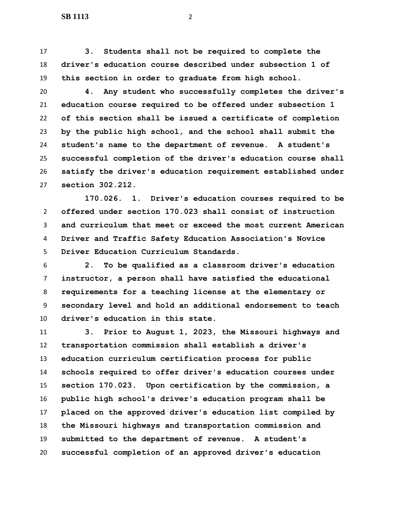**3. Students shall not be required to complete the driver's education course described under subsection 1 of this section in order to graduate from high school.**

 **4. Any student who successfully completes the driver's education course required to be offered under subsection 1 of this section shall be issued a certificate of completion by the public high school, and the school shall submit the student's name to the department of revenue. A student's successful completion of the driver's education course shall satisfy the driver's education requirement established under section 302.212.**

 **170.026. 1. Driver's education courses required to be offered under section 170.023 shall consist of instruction and curriculum that meet or exceed the most current American Driver and Traffic Safety Education Association's Novice Driver Education Curriculum Standards.**

 **2. To be qualified as a classroom driver's education instructor, a person shall have satisfied the educational requirements for a teaching license at the elementary or secondary level and hold an additional endorsement to teach driver's education in this state.**

 **3. Prior to August 1, 2023, the Missouri highways and transportation commission shall establish a driver's education curriculum certification process for public schools required to offer driver's education courses under section 170.023. Upon certification by the commission, a public high school's driver's education program shall be placed on the approved driver's education list compiled by the Missouri highways and transportation commission and submitted to the department of revenue. A student's successful completion of an approved driver's education**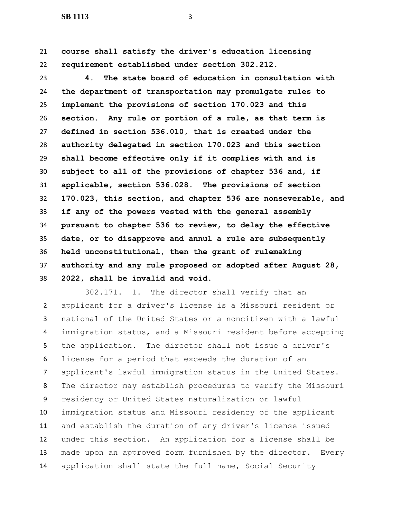**course shall satisfy the driver's education licensing requirement established under section 302.212.**

 **4. The state board of education in consultation with the department of transportation may promulgate rules to implement the provisions of section 170.023 and this section. Any rule or portion of a rule, as that term is defined in section 536.010, that is created under the authority delegated in section 170.023 and this section shall become effective only if it complies with and is subject to all of the provisions of chapter 536 and, if applicable, section 536.028. The provisions of section 170.023, this section, and chapter 536 are nonseverable, and if any of the powers vested with the general assembly pursuant to chapter 536 to review, to delay the effective date, or to disapprove and annul a rule are subsequently held unconstitutional, then the grant of rulemaking authority and any rule proposed or adopted after August 28, 2022, shall be invalid and void.**

 302.171. 1. The director shall verify that an applicant for a driver's license is a Missouri resident or national of the United States or a noncitizen with a lawful immigration status, and a Missouri resident before accepting the application. The director shall not issue a driver's license for a period that exceeds the duration of an applicant's lawful immigration status in the United States. The director may establish procedures to verify the Missouri residency or United States naturalization or lawful immigration status and Missouri residency of the applicant and establish the duration of any driver's license issued under this section. An application for a license shall be made upon an approved form furnished by the director. Every application shall state the full name, Social Security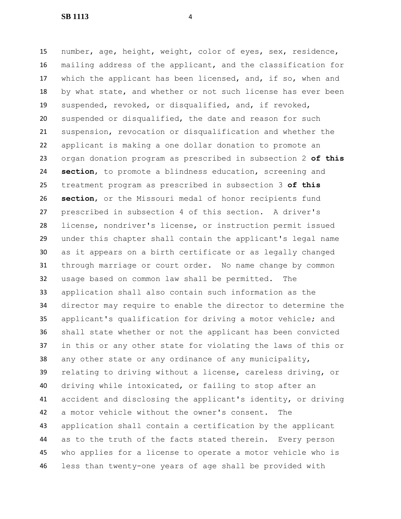number, age, height, weight, color of eyes, sex, residence, mailing address of the applicant, and the classification for which the applicant has been licensed, and, if so, when and by what state, and whether or not such license has ever been suspended, revoked, or disqualified, and, if revoked, suspended or disqualified, the date and reason for such suspension, revocation or disqualification and whether the applicant is making a one dollar donation to promote an organ donation program as prescribed in subsection 2 **of this section**, to promote a blindness education, screening and treatment program as prescribed in subsection 3 **of this section**, or the Missouri medal of honor recipients fund prescribed in subsection 4 of this section. A driver's license, nondriver's license, or instruction permit issued under this chapter shall contain the applicant's legal name as it appears on a birth certificate or as legally changed through marriage or court order. No name change by common usage based on common law shall be permitted. The application shall also contain such information as the director may require to enable the director to determine the applicant's qualification for driving a motor vehicle; and shall state whether or not the applicant has been convicted in this or any other state for violating the laws of this or any other state or any ordinance of any municipality, relating to driving without a license, careless driving, or driving while intoxicated, or failing to stop after an accident and disclosing the applicant's identity, or driving a motor vehicle without the owner's consent. The application shall contain a certification by the applicant as to the truth of the facts stated therein. Every person who applies for a license to operate a motor vehicle who is less than twenty-one years of age shall be provided with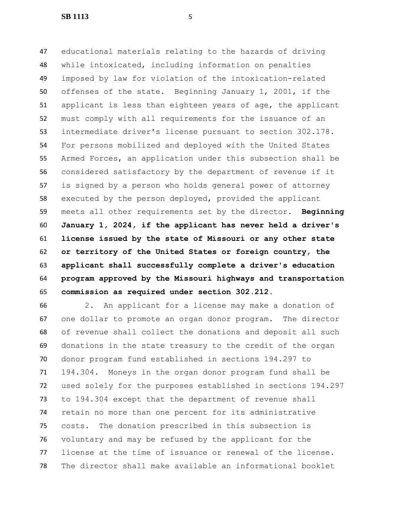educational materials relating to the hazards of driving while intoxicated, including information on penalties imposed by law for violation of the intoxication-related offenses of the state. Beginning January 1, 2001, if the applicant is less than eighteen years of age, the applicant must comply with all requirements for the issuance of an intermediate driver's license pursuant to section 302.178. For persons mobilized and deployed with the United States Armed Forces, an application under this subsection shall be considered satisfactory by the department of revenue if it is signed by a person who holds general power of attorney executed by the person deployed, provided the applicant meets all other requirements set by the director. **Beginning January 1, 2024, if the applicant has never held a driver's license issued by the state of Missouri or any other state or territory of the United States or foreign country, the applicant shall successfully complete a driver's education program approved by the Missouri highways and transportation commission as required under section 302.212.**

 2. An applicant for a license may make a donation of one dollar to promote an organ donor program. The director of revenue shall collect the donations and deposit all such donations in the state treasury to the credit of the organ donor program fund established in sections 194.297 to 194.304. Moneys in the organ donor program fund shall be used solely for the purposes established in sections 194.297 to 194.304 except that the department of revenue shall retain no more than one percent for its administrative costs. The donation prescribed in this subsection is voluntary and may be refused by the applicant for the license at the time of issuance or renewal of the license. The director shall make available an informational booklet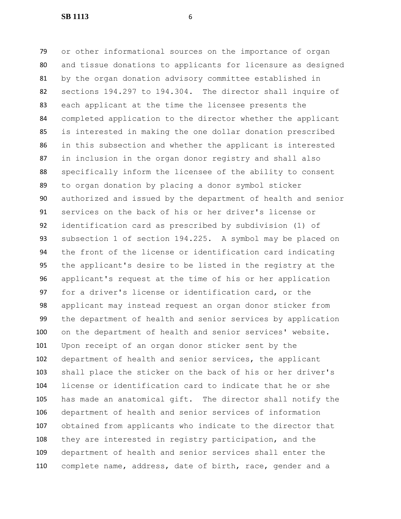or other informational sources on the importance of organ and tissue donations to applicants for licensure as designed by the organ donation advisory committee established in sections 194.297 to 194.304. The director shall inquire of each applicant at the time the licensee presents the completed application to the director whether the applicant is interested in making the one dollar donation prescribed in this subsection and whether the applicant is interested in inclusion in the organ donor registry and shall also specifically inform the licensee of the ability to consent to organ donation by placing a donor symbol sticker authorized and issued by the department of health and senior services on the back of his or her driver's license or identification card as prescribed by subdivision (1) of subsection 1 of section 194.225. A symbol may be placed on the front of the license or identification card indicating the applicant's desire to be listed in the registry at the applicant's request at the time of his or her application for a driver's license or identification card, or the applicant may instead request an organ donor sticker from the department of health and senior services by application on the department of health and senior services' website. Upon receipt of an organ donor sticker sent by the department of health and senior services, the applicant shall place the sticker on the back of his or her driver's license or identification card to indicate that he or she has made an anatomical gift. The director shall notify the department of health and senior services of information obtained from applicants who indicate to the director that they are interested in registry participation, and the department of health and senior services shall enter the complete name, address, date of birth, race, gender and a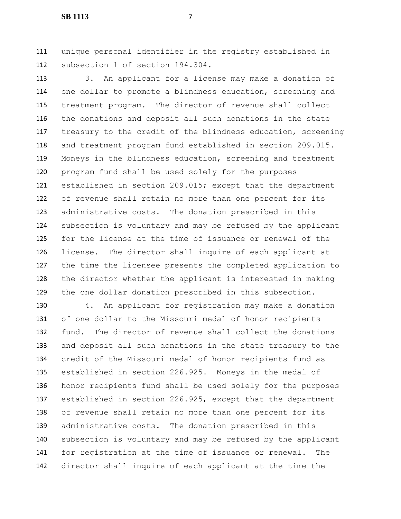unique personal identifier in the registry established in subsection 1 of section 194.304.

 3. An applicant for a license may make a donation of one dollar to promote a blindness education, screening and treatment program. The director of revenue shall collect the donations and deposit all such donations in the state treasury to the credit of the blindness education, screening and treatment program fund established in section 209.015. Moneys in the blindness education, screening and treatment program fund shall be used solely for the purposes established in section 209.015; except that the department of revenue shall retain no more than one percent for its administrative costs. The donation prescribed in this subsection is voluntary and may be refused by the applicant for the license at the time of issuance or renewal of the license. The director shall inquire of each applicant at the time the licensee presents the completed application to the director whether the applicant is interested in making the one dollar donation prescribed in this subsection.

 4. An applicant for registration may make a donation of one dollar to the Missouri medal of honor recipients fund. The director of revenue shall collect the donations and deposit all such donations in the state treasury to the credit of the Missouri medal of honor recipients fund as established in section 226.925. Moneys in the medal of honor recipients fund shall be used solely for the purposes established in section 226.925, except that the department of revenue shall retain no more than one percent for its administrative costs. The donation prescribed in this subsection is voluntary and may be refused by the applicant for registration at the time of issuance or renewal. The director shall inquire of each applicant at the time the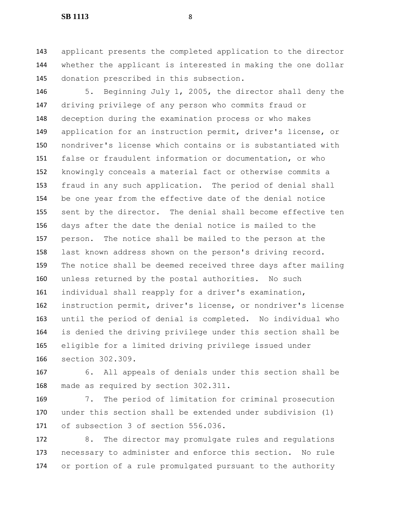applicant presents the completed application to the director whether the applicant is interested in making the one dollar donation prescribed in this subsection.

 5. Beginning July 1, 2005, the director shall deny the driving privilege of any person who commits fraud or deception during the examination process or who makes application for an instruction permit, driver's license, or nondriver's license which contains or is substantiated with false or fraudulent information or documentation, or who knowingly conceals a material fact or otherwise commits a fraud in any such application. The period of denial shall be one year from the effective date of the denial notice sent by the director. The denial shall become effective ten days after the date the denial notice is mailed to the person. The notice shall be mailed to the person at the last known address shown on the person's driving record. The notice shall be deemed received three days after mailing unless returned by the postal authorities. No such individual shall reapply for a driver's examination, instruction permit, driver's license, or nondriver's license until the period of denial is completed. No individual who is denied the driving privilege under this section shall be eligible for a limited driving privilege issued under section 302.309.

 6. All appeals of denials under this section shall be made as required by section 302.311.

 7. The period of limitation for criminal prosecution under this section shall be extended under subdivision (1) of subsection 3 of section 556.036.

 8. The director may promulgate rules and regulations necessary to administer and enforce this section. No rule or portion of a rule promulgated pursuant to the authority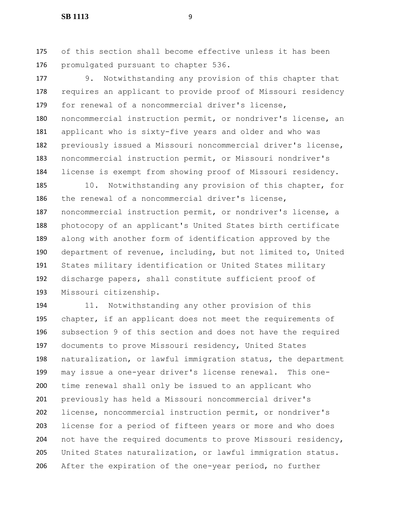of this section shall become effective unless it has been promulgated pursuant to chapter 536.

 9. Notwithstanding any provision of this chapter that requires an applicant to provide proof of Missouri residency for renewal of a noncommercial driver's license, noncommercial instruction permit, or nondriver's license, an applicant who is sixty-five years and older and who was previously issued a Missouri noncommercial driver's license, noncommercial instruction permit, or Missouri nondriver's license is exempt from showing proof of Missouri residency.

 10. Notwithstanding any provision of this chapter, for the renewal of a noncommercial driver's license, noncommercial instruction permit, or nondriver's license, a photocopy of an applicant's United States birth certificate along with another form of identification approved by the department of revenue, including, but not limited to, United States military identification or United States military discharge papers, shall constitute sufficient proof of Missouri citizenship.

 11. Notwithstanding any other provision of this chapter, if an applicant does not meet the requirements of subsection 9 of this section and does not have the required documents to prove Missouri residency, United States naturalization, or lawful immigration status, the department may issue a one-year driver's license renewal. This one- time renewal shall only be issued to an applicant who previously has held a Missouri noncommercial driver's license, noncommercial instruction permit, or nondriver's license for a period of fifteen years or more and who does not have the required documents to prove Missouri residency, United States naturalization, or lawful immigration status. After the expiration of the one-year period, no further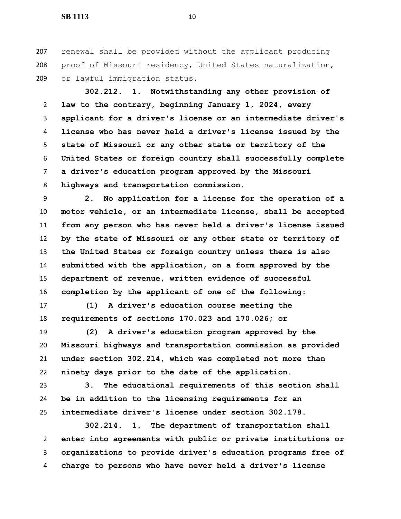renewal shall be provided without the applicant producing proof of Missouri residency, United States naturalization, or lawful immigration status.

 **302.212. 1. Notwithstanding any other provision of law to the contrary, beginning January 1, 2024, every applicant for a driver's license or an intermediate driver's license who has never held a driver's license issued by the state of Missouri or any other state or territory of the United States or foreign country shall successfully complete a driver's education program approved by the Missouri highways and transportation commission.**

 **2. No application for a license for the operation of a motor vehicle, or an intermediate license, shall be accepted from any person who has never held a driver's license issued by the state of Missouri or any other state or territory of the United States or foreign country unless there is also submitted with the application, on a form approved by the department of revenue, written evidence of successful completion by the applicant of one of the following:**

 **(1) A driver's education course meeting the requirements of sections 170.023 and 170.026; or**

 **(2) A driver's education program approved by the Missouri highways and transportation commission as provided under section 302.214, which was completed not more than ninety days prior to the date of the application.**

 **3. The educational requirements of this section shall be in addition to the licensing requirements for an intermediate driver's license under section 302.178.**

 **302.214. 1. The department of transportation shall enter into agreements with public or private institutions or organizations to provide driver's education programs free of charge to persons who have never held a driver's license**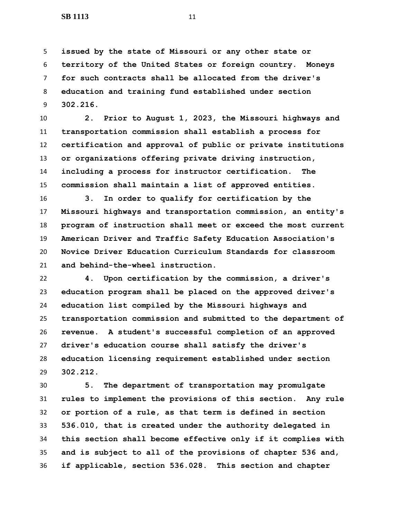**issued by the state of Missouri or any other state or territory of the United States or foreign country. Moneys for such contracts shall be allocated from the driver's education and training fund established under section 302.216.**

 **2. Prior to August 1, 2023, the Missouri highways and transportation commission shall establish a process for certification and approval of public or private institutions or organizations offering private driving instruction, including a process for instructor certification. The commission shall maintain a list of approved entities.**

 **3. In order to qualify for certification by the Missouri highways and transportation commission, an entity's program of instruction shall meet or exceed the most current American Driver and Traffic Safety Education Association's Novice Driver Education Curriculum Standards for classroom and behind-the-wheel instruction.**

 **4. Upon certification by the commission, a driver's education program shall be placed on the approved driver's education list compiled by the Missouri highways and transportation commission and submitted to the department of revenue. A student's successful completion of an approved driver's education course shall satisfy the driver's education licensing requirement established under section 302.212.**

 **5. The department of transportation may promulgate rules to implement the provisions of this section. Any rule or portion of a rule, as that term is defined in section 536.010, that is created under the authority delegated in this section shall become effective only if it complies with and is subject to all of the provisions of chapter 536 and, if applicable, section 536.028. This section and chapter**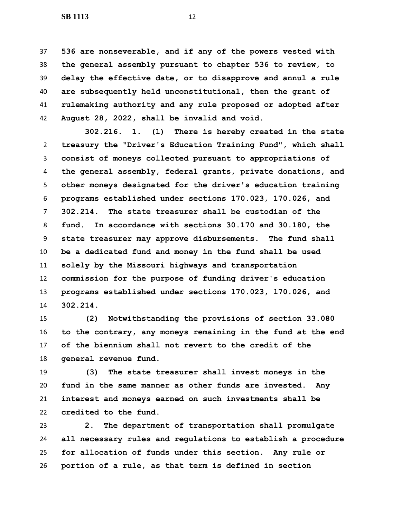**536 are nonseverable, and if any of the powers vested with the general assembly pursuant to chapter 536 to review, to delay the effective date, or to disapprove and annul a rule are subsequently held unconstitutional, then the grant of rulemaking authority and any rule proposed or adopted after August 28, 2022, shall be invalid and void.**

 **302.216. 1. (1) There is hereby created in the state treasury the "Driver's Education Training Fund", which shall consist of moneys collected pursuant to appropriations of the general assembly, federal grants, private donations, and other moneys designated for the driver's education training programs established under sections 170.023, 170.026, and 302.214. The state treasurer shall be custodian of the fund. In accordance with sections 30.170 and 30.180, the state treasurer may approve disbursements. The fund shall be a dedicated fund and money in the fund shall be used solely by the Missouri highways and transportation commission for the purpose of funding driver's education programs established under sections 170.023, 170.026, and 302.214.**

 **(2) Notwithstanding the provisions of section 33.080 to the contrary, any moneys remaining in the fund at the end of the biennium shall not revert to the credit of the general revenue fund.**

 **(3) The state treasurer shall invest moneys in the fund in the same manner as other funds are invested. Any interest and moneys earned on such investments shall be credited to the fund.**

 **2. The department of transportation shall promulgate all necessary rules and regulations to establish a procedure for allocation of funds under this section. Any rule or portion of a rule, as that term is defined in section**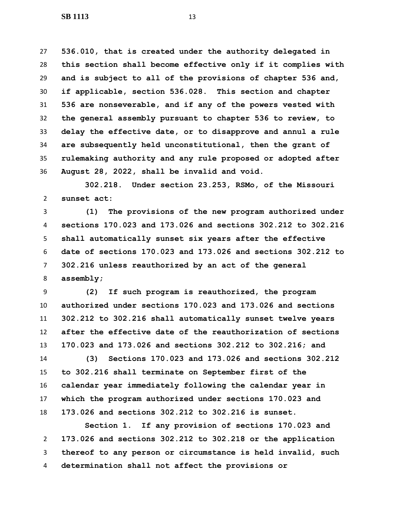**536.010, that is created under the authority delegated in this section shall become effective only if it complies with and is subject to all of the provisions of chapter 536 and, if applicable, section 536.028. This section and chapter 536 are nonseverable, and if any of the powers vested with the general assembly pursuant to chapter 536 to review, to delay the effective date, or to disapprove and annul a rule are subsequently held unconstitutional, then the grant of rulemaking authority and any rule proposed or adopted after August 28, 2022, shall be invalid and void.**

 **302.218. Under section 23.253, RSMo, of the Missouri sunset act:**

 **(1) The provisions of the new program authorized under sections 170.023 and 173.026 and sections 302.212 to 302.216 shall automatically sunset six years after the effective date of sections 170.023 and 173.026 and sections 302.212 to 302.216 unless reauthorized by an act of the general assembly;**

 **(2) If such program is reauthorized, the program authorized under sections 170.023 and 173.026 and sections 302.212 to 302.216 shall automatically sunset twelve years after the effective date of the reauthorization of sections 170.023 and 173.026 and sections 302.212 to 302.216; and**

 **(3) Sections 170.023 and 173.026 and sections 302.212 to 302.216 shall terminate on September first of the calendar year immediately following the calendar year in which the program authorized under sections 170.023 and 173.026 and sections 302.212 to 302.216 is sunset.**

 **Section 1. If any provision of sections 170.023 and 173.026 and sections 302.212 to 302.218 or the application thereof to any person or circumstance is held invalid, such determination shall not affect the provisions or**